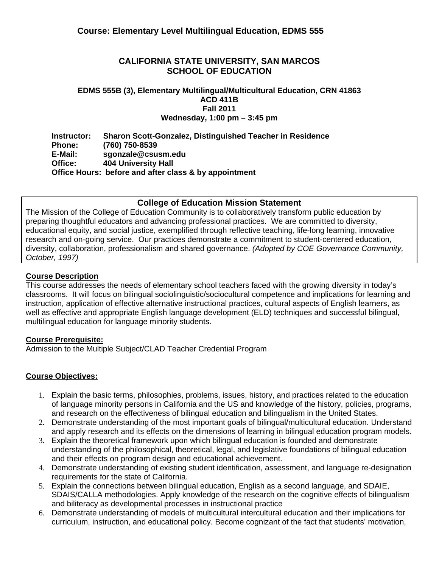## **CALIFORNIA STATE UNIVERSITY, SAN MARCOS SCHOOL OF EDUCATION**

#### **EDMS 555B (3), Elementary Multilingual/Multicultural Education, CRN 41863 ACD 411B Fall 2011 Wednesday, 1:00 pm – 3:45 pm**

**Instructor: Sharon Scott-Gonzalez, Distinguished Teacher in Residence Phone: (760) 750-8539 E-Mail: sgonzale@csusm.edu Office: 404 University Hall Office Hours: before and after class & by appointment** 

### **College of Education Mission Statement**

The Mission of the College of Education Community is to collaboratively transform public education by preparing thoughtful educators and advancing professional practices. We are committed to diversity, educational equity, and social justice, exemplified through reflective teaching, life-long learning, innovative research and on-going service. Our practices demonstrate a commitment to student-centered education, diversity, collaboration, professionalism and shared governance. *(Adopted by COE Governance Community, October, 1997)*

## **Course Description**

 instruction, application of effective alternative instructional practices, cultural aspects of English learners, as This course addresses the needs of elementary school teachers faced with the growing diversity in today's classrooms. It will focus on bilingual sociolinguistic/sociocultural competence and implications for learning and well as effective and appropriate English language development (ELD) techniques and successful bilingual, multilingual education for language minority students.

### **Course Prerequisite:**

Admission to the Multiple Subject/CLAD Teacher Credential Program

# **Course Objectives:**

- and research on the effectiveness of bilingual education and bilingualism in the United States. 1. Explain the basic terms, philosophies, problems, issues, history, and practices related to the education of language minority persons in California and the US and knowledge of the history, policies, programs,
- and apply research and its effects on the dimensions of learning in bilingual education program models. 2. Demonstrate understanding of the most important goals of bilingual/multicultural education. Understand
- and their effects on program design and educational achievement. 3. Explain the theoretical framework upon which bilingual education is founded and demonstrate understanding of the philosophical, theoretical, legal, and legislative foundations of bilingual education
- requirements for the state of California. 4. Demonstrate understanding of existing student identification, assessment, and language re-designation
- and biliteracy as developmental processes in instructional practice 5. Explain the connections between bilingual education, English as a second language, and SDAIE, SDAIS/CALLA methodologies. Apply knowledge of the research on the cognitive effects of bilingualism
- 6. Demonstrate understanding of models of multicultural intercultural education and their implications for curriculum, instruction, and educational policy. Become cognizant of the fact that students' motivation,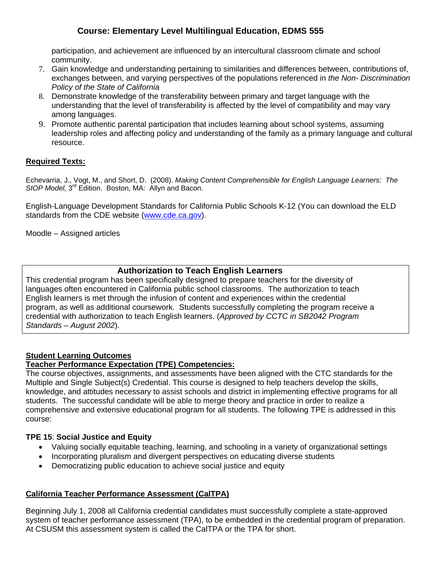community. participation, and achievement are influenced by an intercultural classroom climate and school

- *Policy of the State of California* 7. Gain knowledge and understanding pertaining to similarities and differences between, contributions of, exchanges between, and varying perspectives of the populations referenced in *the Non- Discrimination*
- among languages. 8. Demonstrate knowledge of the transferability between primary and target language with the understanding that the level of transferability is affected by the level of compatibility and may vary
- resource. 9. Promote authentic parental participation that includes learning about school systems, assuming leadership roles and affecting policy and understanding of the family as a primary language and cultural

# **Required Texts:**

Echevarria, J., Vogt, M., and Short, D. (2008). *Making Content Comprehensible for English Language Learners: The*  SIOP Model, 3<sup>rd</sup> Edition. Boston, MA: Allyn and Bacon.

English-Language Development Standards for California Public Schools K-12 (You can download the ELD standards from the CDE website (www.cde.ca.gov).

Moodle – Assigned articles

# **Authorization to Teach English Learners**

This credential program has been specifically designed to prepare teachers for the diversity of languages often encountered in California public school classrooms. The authorization to teach English learners is met through the infusion of content and experiences within the credential program, as well as additional coursework. Students successfully completing the program receive a credential with authorization to teach English learners. (*Approved by CCTC in SB2042 Program Standards – August 2002*).

# **Student Learning Outcomes**

### **Teacher Performance Expectation (TPE) Competencies:**

The course objectives, assignments, and assessments have been aligned with the CTC standards for the Multiple and Single Subject(s) Credential. This course is designed to help teachers develop the skills, knowledge, and attitudes necessary to assist schools and district in implementing effective programs for all students. The successful candidate will be able to merge theory and practice in order to realize a comprehensive and extensive educational program for all students. The following TPE is addressed in this course:

### **TPE 15**: **Social Justice and Equity**

- Valuing socially equitable teaching, learning, and schooling in a variety of organizational settings
- Incorporating pluralism and divergent perspectives on educating diverse students
- Democratizing public education to achieve social justice and equity

### **California Teacher Performance Assessment (CalTPA)**

system of teacher performance assessment (TPA), to be embedded in the credential program of preparation.<br>At CSUSM this assessment system is called the CalTPA or the TPA for short. Beginning July 1, 2008 all California credential candidates must successfully complete a state-approved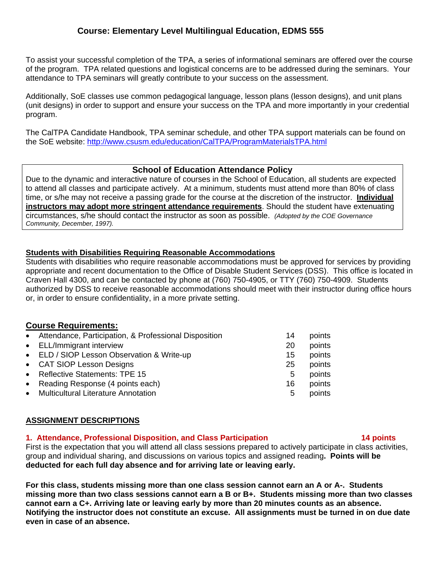To assist your successful completion of the TPA, a series of informational seminars are offered over the course of the program. TPA related questions and logistical concerns are to be addressed during the seminars. Your attendance to TPA seminars will greatly contribute to your success on the assessment.

Additionally, SoE classes use common pedagogical language, lesson plans (lesson designs), and unit plans (unit designs) in order to support and ensure your success on the TPA and more importantly in your credential program.

The CalTPA Candidate Handbook, TPA seminar schedule, and other TPA support materials can be found on the SoE website: http://www.csusm.edu/education/CalTPA/ProgramMaterialsTPA.html

## **School of Education Attendance Policy**

 circumstances, s/he should contact the instructor as soon as possible. *(Adopted by the COE Governance*  Due to the dynamic and interactive nature of courses in the School of Education, all students are expected to attend all classes and participate actively. At a minimum, students must attend more than 80% of class time, or s/he may not receive a passing grade for the course at the discretion of the instructor. **Individual instructors may adopt more stringent attendance requirements**. Should the student have extenuating *Community, December, 1997).* 

### **Students with Disabilities Requiring Reasonable Accommodations**

Students with disabilities who require reasonable accommodations must be approved for services by providing appropriate and recent documentation to the Office of Disable Student Services (DSS). This office is located in Craven Hall 4300, and can be contacted by phone at (760) 750-4905, or TTY (760) 750-4909. Students authorized by DSS to receive reasonable accommodations should meet with their instructor during office hours or, in order to ensure confidentiality, in a more private setting.

# **Course Requirements:**

| • Attendance, Participation, & Professional Disposition | 14 | points |
|---------------------------------------------------------|----|--------|
| • ELL/Immigrant interview                               | 20 | points |
| • ELD / SIOP Lesson Observation & Write-up              | 15 | points |
| • CAT SIOP Lesson Designs                               | 25 | points |
| • Reflective Statements: TPE 15                         | 5  | points |
| • Reading Response (4 points each)                      | 16 | points |
| • Multicultural Literature Annotation                   | 5  | points |
|                                                         |    |        |

### **ASSIGNMENT DESCRIPTIONS**

### **1. Attendance, Professional Disposition, and Class Participation 14 points**

First is the expectation that you will attend all class sessions prepared to actively participate in class activities, group and individual sharing, and discussions on various topics and assigned reading**. Points will be deducted for each full day absence and for arriving late or leaving early.** 

**For this class, students missing more than one class session cannot earn an A or A-. Students missing more than two class sessions cannot earn a B or B+. Students missing more than two classes cannot earn a C+. Arriving late or leaving early by more than 20 minutes counts as an absence. Notifying the instructor does not constitute an excuse. All assignments must be turned in on due date even in case of an absence.**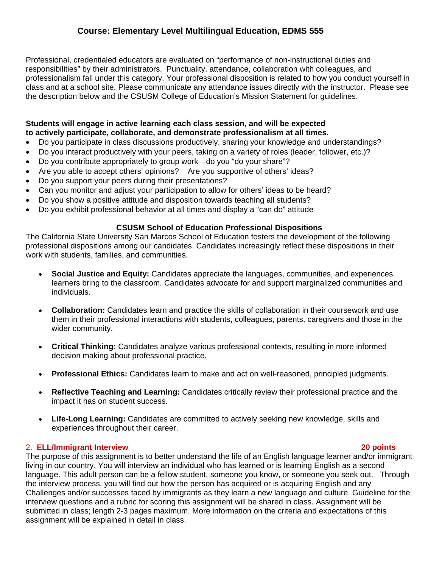Professional, credentialed educators are evaluated on "performance of non-instructional duties and responsibilities" by their administrators. Punctuality, attendance, collaboration with colleagues, and professionalism fall under this category. Your professional disposition is related to how you conduct yourself in class and at a school site. Please communicate any attendance issues directly with the instructor. Please see the description below and the CSUSM College of Education's Mission Statement for guidelines.

#### **Students will engage in active learning each class session, and will be expected to actively participate, collaborate, and demonstrate professionalism at all times.**

- Do you participate in class discussions productively, sharing your knowledge and understandings?
- Do you interact productively with your peers, taking on a variety of roles (leader, follower, etc.)?
- Do you contribute appropriately to group work—do you "do your share"?
- Are you able to accept others' opinions? Are you supportive of others' ideas?
- Do you support your peers during their presentations?
- Can you monitor and adjust your participation to allow for others' ideas to be heard?
- Do you show a positive attitude and disposition towards teaching all students?
- Do you exhibit professional behavior at all times and display a "can do" attitude

#### **CSUSM School of Education Professional Dispositions**

The California State University San Marcos School of Education fosters the development of the following professional dispositions among our candidates. Candidates increasingly reflect these dispositions in their work with students, families, and communities.

- **Social Justice and Equity:** Candidates appreciate the languages, communities, and experiences learners bring to the classroom. Candidates advocate for and support marginalized communities and individuals.
- **Collaboration:** Candidates learn and practice the skills of collaboration in their coursework and use them in their professional interactions with students, colleagues, parents, caregivers and those in the wider community.
- **Critical Thinking:** Candidates analyze various professional contexts, resulting in more informed decision making about professional practice.
- **Professional Ethics:** Candidates learn to make and act on well-reasoned, principled judgments.
- **Reflective Teaching and Learning:** Candidates critically review their professional practice and the impact it has on student success.
- experiences throughout their career. **Life-Long Learning:** Candidates are committed to actively seeking new knowledge, skills and

#### 2. **ELL/Immigrant Interview 20 points**

The purpose of this assignment is to better understand the life of an English language learner and/or immigrant living in our country. You will interview an individual who has learned or is learning English as a second language. This adult person can be a fellow student, someone you know, or someone you seek out. Through the interview process, you will find out how the person has acquired or is acquiring English and any Challenges and/or successes faced by immigrants as they learn a new language and culture. Guideline for the interview questions and a rubric for scoring this assignment will be shared in class. Assignment will be submitted in class; length 2-3 pages maximum. More information on the criteria and expectations of this assignment will be explained in detail in class.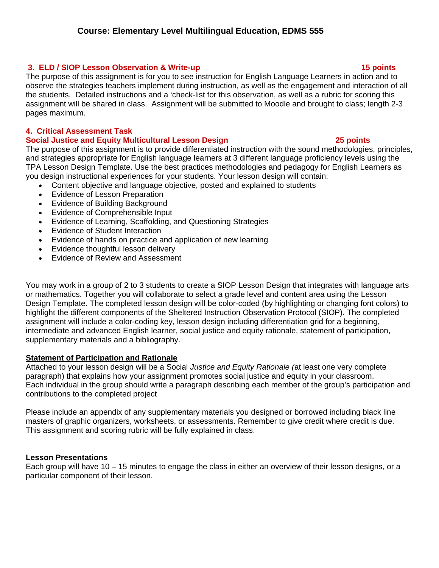# **3. ELD / SIOP Lesson Observation & Write-up 15 points**

The purpose of this assignment is for you to see instruction for English Language Learners in action and to observe the strategies teachers implement during instruction, as well as the engagement and interaction of all the students. Detailed instructions and a 'check-list for this observation, as well as a rubric for scoring this assignment will be shared in class. Assignment will be submitted to Moodle and brought to class; length 2-3 pages maximum.

# **4. Critical Assessment Task**

# **Social Justice and Equity Multicultural Lesson Design 25 points**

The purpose of this assignment is to provide differentiated instruction with the sound methodologies, principles, and strategies appropriate for English language learners at 3 different language proficiency levels using the TPA Lesson Design Template. Use the best practices methodologies and pedagogy for English Learners as you design instructional experiences for your students. Your lesson design will contain:

- Content objective and language objective, posted and explained to students
- Evidence of Lesson Preparation
- Evidence of Building Background
- Evidence of Comprehensible Input
- Evidence of Learning, Scaffolding, and Questioning Strategies
- Evidence of Student Interaction
- Evidence of hands on practice and application of new learning
- Evidence thoughtful lesson delivery
- Evidence of Review and Assessment

You may work in a group of 2 to 3 students to create a SIOP Lesson Design that integrates with language arts or mathematics. Together you will collaborate to select a grade level and content area using the Lesson Design Template. The completed lesson design will be color-coded (by highlighting or changing font colors) to highlight the different components of the Sheltered Instruction Observation Protocol (SIOP). The completed assignment will include a color-coding key, lesson design including differentiation grid for a beginning, intermediate and advanced English learner, social justice and equity rationale, statement of participation, supplementary materials and a bibliography.

# **Statement of Participation and Rationale**

Attached to your lesson design will be a Social *Justice and Equity Rationale (*at least one very complete paragraph) that explains how your assignment promotes social justice and equity in your classroom. Each individual in the group should write a paragraph describing each member of the group's participation and contributions to the completed project

Please include an appendix of any supplementary materials you designed or borrowed including black line masters of graphic organizers, worksheets, or assessments. Remember to give credit where credit is due. This assignment and scoring rubric will be fully explained in class.

# **Lesson Presentations**

Each group will have 10 – 15 minutes to engage the class in either an overview of their lesson designs, or a particular component of their lesson.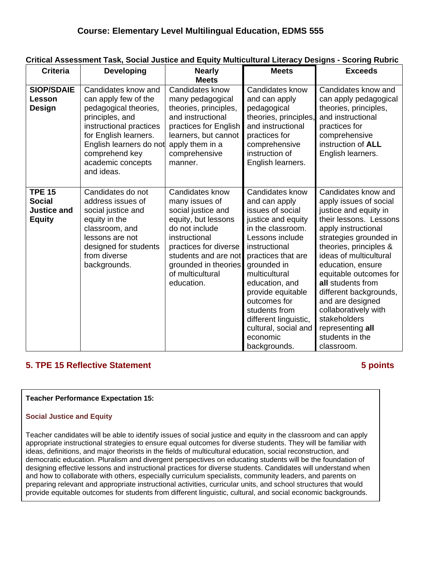| <b>Criteria</b>                                                       | <b>Developing</b>                                                                                                                                                                                                           | <b>Nearly</b><br><b>Meets</b>                                                                                                                                                                                                | <b>Meets</b>                                                                                                                                                                                                                                                                                                                                   | <b>Exceeds</b>                                                                                                                                                                                                                                                                                                                                                                                                       |
|-----------------------------------------------------------------------|-----------------------------------------------------------------------------------------------------------------------------------------------------------------------------------------------------------------------------|------------------------------------------------------------------------------------------------------------------------------------------------------------------------------------------------------------------------------|------------------------------------------------------------------------------------------------------------------------------------------------------------------------------------------------------------------------------------------------------------------------------------------------------------------------------------------------|----------------------------------------------------------------------------------------------------------------------------------------------------------------------------------------------------------------------------------------------------------------------------------------------------------------------------------------------------------------------------------------------------------------------|
| <b>SIOP/SDAIE</b><br><b>Lesson</b><br>Design                          | Candidates know and<br>can apply few of the<br>pedagogical theories,<br>principles, and<br>instructional practices<br>for English learners.<br>English learners do not<br>comprehend key<br>academic concepts<br>and ideas. | Candidates know<br>many pedagogical<br>theories, principles,<br>and instructional<br>practices for English<br>learners, but cannot<br>apply them in a<br>comprehensive<br>manner.                                            | Candidates know<br>and can apply<br>pedagogical<br>theories, principles,<br>and instructional<br>practices for<br>comprehensive<br>instruction of<br>English learners.                                                                                                                                                                         | Candidates know and<br>can apply pedagogical<br>theories, principles,<br>and instructional<br>practices for<br>comprehensive<br>instruction of <b>ALL</b><br>English learners.                                                                                                                                                                                                                                       |
| <b>TPE 15</b><br><b>Social</b><br><b>Justice and</b><br><b>Equity</b> | Candidates do not<br>address issues of<br>social justice and<br>equity in the<br>classroom, and<br>lessons are not<br>designed for students<br>from diverse<br>backgrounds.                                                 | Candidates know<br>many issues of<br>social justice and<br>equity, but lessons<br>do not include<br>instructional<br>practices for diverse<br>students and are not<br>grounded in theories<br>of multicultural<br>education. | Candidates know<br>and can apply<br>issues of social<br>justice and equity<br>in the classroom.<br>Lessons include<br>instructional<br>practices that are<br>grounded in<br>multicultural<br>education, and<br>provide equitable<br>outcomes for<br>students from<br>different linguistic,<br>cultural, social and<br>economic<br>backgrounds. | Candidates know and<br>apply issues of social<br>justice and equity in<br>their lessons. Lessons<br>apply instructional<br>strategies grounded in<br>theories, principles &<br>ideas of multicultural<br>education, ensure<br>equitable outcomes for<br>all students from<br>different backgrounds,<br>and are designed<br>collaboratively with<br>stakeholders<br>representing all<br>students in the<br>classroom. |

# **Critical Assessment Task, Social Justice and Equity Multicultural Literacy Designs - Scoring Rubric**

# **5. TPE 15 Reflective Statement 6 and 5 points 3 points 3 points 3 points 3 points 3 points 3 points 3 points 3 points 3 points 3 points 3 points 3 points 3 points 3 points 3 points 3 points 3 points 3 points 3 points 3 po**

### **Teacher Performance Expectation 15:**

#### **Social Justice and Equity**

Teacher candidates will be able to identify issues of social justice and equity in the classroom and can apply appropriate instructional strategies to ensure equal outcomes for diverse students. They will be familiar with ideas, definitions, and major theorists in the fields of multicultural education, social reconstruction, and democratic education. Pluralism and divergent perspectives on educating students will be the foundation of designing effective lessons and instructional practices for diverse students. Candidates will understand when and how to collaborate with others, especially curriculum specialists, community leaders, and parents on preparing relevant and appropriate instructional activities, curricular units, and school structures that would provide equitable outcomes for students from different linguistic, cultural, and social economic backgrounds.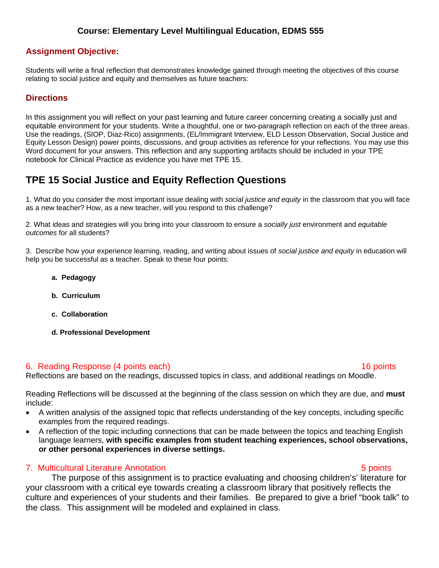# **Assignment Objective:**

Students will write a final reflection that demonstrates knowledge gained through meeting the objectives of this course relating to social justice and equity and themselves as future teachers:

# **Directions**

In this assignment you will reflect on your past learning and future career concerning creating a socially just and equitable environment for your students. Write a thoughtful, one or two-paragraph reflection on each of the three areas. Use the readings, (SIOP, Diaz-Rico) assignments, (EL/Immigrant Interview, ELD Lesson Observation, Social Justice and Equity Lesson Design) power points, discussions, and group activities as reference for your reflections. You may use this Word document for your answers. This reflection and any supporting artifacts should be included in your TPE notebook for Clinical Practice as evidence you have met TPE 15.

# **TPE 15 Social Justice and Equity Reflection Questions**

1. What do you consider the most important issue dealing with *social justice and equity* in the classroom that you will face as a new teacher? How, as a new teacher, will you respond to this challenge?

2. What ideas and strategies will you bring into your classroom to ensure a *socially just* environment and *equitable outcomes* for all students?

3. Describe how your experience learning, reading, and writing about issues of *social justice and equity* in education will help you be successful as a teacher. Speak to these four points:

- **a. Pedagogy**
- **b. Curriculum**
- **c. Collaboration**
- **d. Professional Development**

### 6. Reading Response (4 points each) 16 points

Reflections are based on the readings, discussed topics in class, and additional readings on Moodle.

Reading Reflections will be discussed at the beginning of the class session on which they are due, and **must**  include:

- A written analysis of the assigned topic that reflects understanding of the key concepts, including specific examples from the required readings.
- A reflection of the topic including connections that can be made between the topics and teaching English language learners, **with specific examples from student teaching experiences, school observations, or other personal experiences in diverse settings.**

# 7. Multicultural Literature Annotation 5 points

The purpose of this assignment is to practice evaluating and choosing children's' literature for your classroom with a critical eye towards creating a classroom library that positively reflects the culture and experiences of your students and their families. Be prepared to give a brief "book talk" to the class. This assignment will be modeled and explained in class.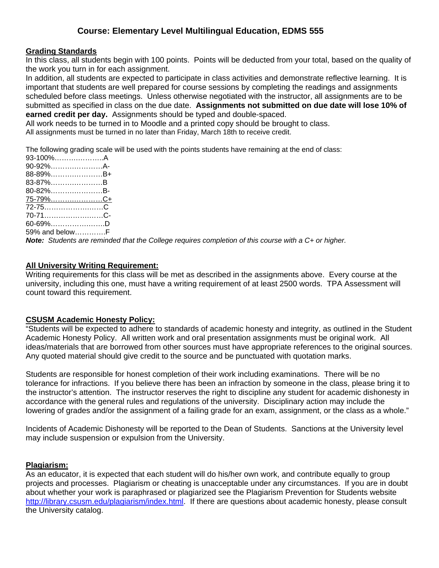### **Grading Standards**

In this class, all students begin with 100 points. Points will be deducted from your total, based on the quality of the work you turn in for each assignment.

 submitted as specified in class on the due date. **Assignments not submitted on due date will lose 10% of**  In addition, all students are expected to participate in class activities and demonstrate reflective learning. It is important that students are well prepared for course sessions by completing the readings and assignments scheduled before class meetings. Unless otherwise negotiated with the instructor, all assignments are to be **earned credit per day.** Assignments should be typed and double-spaced.

All work needs to be turned in to Moodle and a printed copy should be brought to class.

All assignments must be turned in no later than Friday, March 18th to receive credit.

The following grading scale will be used with the points students have remaining at the end of class:

| 93-100%A        |  |
|-----------------|--|
| 90-92%A-        |  |
| 88-89%B+        |  |
| 83-87%B         |  |
| 80-82%B-        |  |
| <u>75-79%C+</u> |  |
| 72-75C          |  |
|                 |  |
| $60 - 69\%$ D   |  |
| 59% and belowF  |  |

*Note: Students are reminded that the College requires completion of this course with a C+ or higher.* 

### **All University Writing Requirement:**

Writing requirements for this class will be met as described in the assignments above. Every course at the university, including this one, must have a writing requirement of at least 2500 words. TPA Assessment will count toward this requirement.

#### **CSUSM Academic Honesty Policy:**

"Students will be expected to adhere to standards of academic honesty and integrity, as outlined in the Student Academic Honesty Policy. All written work and oral presentation assignments must be original work. All ideas/materials that are borrowed from other sources must have appropriate references to the original sources. Any quoted material should give credit to the source and be punctuated with quotation marks.

Students are responsible for honest completion of their work including examinations. There will be no tolerance for infractions. If you believe there has been an infraction by someone in the class, please bring it to the instructor's attention. The instructor reserves the right to discipline any student for academic dishonesty in accordance with the general rules and regulations of the university. Disciplinary action may include the lowering of grades and/or the assignment of a failing grade for an exam, assignment, or the class as a whole."

Incidents of Academic Dishonesty will be reported to the Dean of Students. Sanctions at the University level may include suspension or expulsion from the University.

#### **Plagiarism:**

As an educator, it is expected that each student will do his/her own work, and contribute equally to group projects and processes. Plagiarism or cheating is unacceptable under any circumstances. If you are in doubt about whether your work is paraphrased or plagiarized see the Plagiarism Prevention for Students website http://library.csusm.edu/plagiarism/index.html. If there are questions about academic honesty, please consult the University catalog.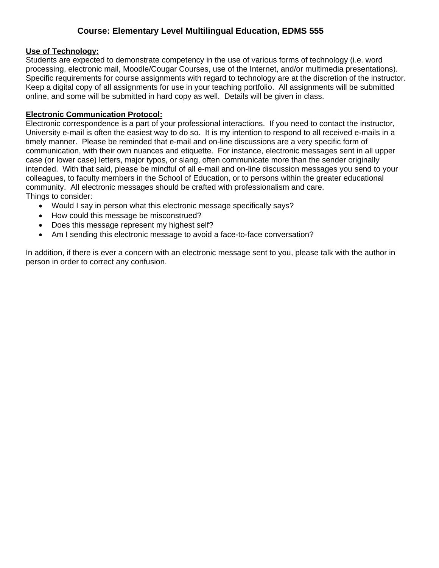## **Use of Technology:**

Students are expected to demonstrate competency in the use of various forms of technology (i.e. word processing, electronic mail, Moodle/Cougar Courses, use of the Internet, and/or multimedia presentations). Specific requirements for course assignments with regard to technology are at the discretion of the instructor. Keep a digital copy of all assignments for use in your teaching portfolio. All assignments will be submitted online, and some will be submitted in hard copy as well. Details will be given in class.

## **Electronic Communication Protocol:**

Electronic correspondence is a part of your professional interactions. If you need to contact the instructor, University e-mail is often the easiest way to do so. It is my intention to respond to all received e-mails in a timely manner. Please be reminded that e-mail and on-line discussions are a very specific form of communication, with their own nuances and etiquette. For instance, electronic messages sent in all upper case (or lower case) letters, major typos, or slang, often communicate more than the sender originally intended. With that said, please be mindful of all e-mail and on-line discussion messages you send to your colleagues, to faculty members in the School of Education, or to persons within the greater educational community. All electronic messages should be crafted with professionalism and care. Things to consider:

- Would I say in person what this electronic message specifically says?
- How could this message be misconstrued?
- Does this message represent my highest self?
- Am I sending this electronic message to avoid a face-to-face conversation?

In addition, if there is ever a concern with an electronic message sent to you, please talk with the author in person in order to correct any confusion.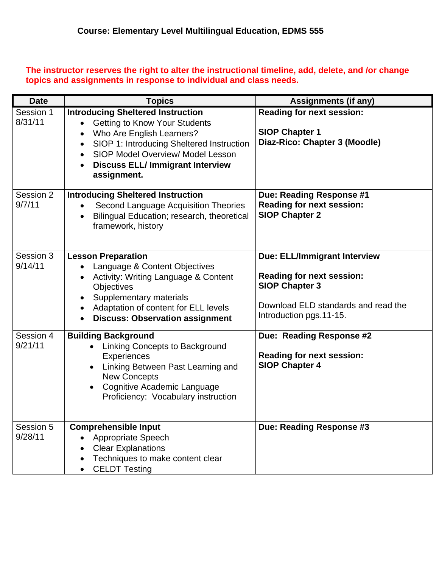**The instructor reserves the right to alter the instructional timeline, add, delete, and /or change topics and assignments in response to individual and class needs.** 

| <b>Date</b>          | <b>Topics</b>                                                                                                                                                                                                                                                                                    | <b>Assignments (if any)</b>                                                                                                                                        |
|----------------------|--------------------------------------------------------------------------------------------------------------------------------------------------------------------------------------------------------------------------------------------------------------------------------------------------|--------------------------------------------------------------------------------------------------------------------------------------------------------------------|
| Session 1<br>8/31/11 | <b>Introducing Sheltered Instruction</b><br><b>Getting to Know Your Students</b><br>$\bullet$<br>Who Are English Learners?<br>SIOP 1: Introducing Sheltered Instruction<br>SIOP Model Overview/ Model Lesson<br>$\bullet$<br><b>Discuss ELL/ Immigrant Interview</b><br>$\bullet$<br>assignment. | <b>Reading for next session:</b><br><b>SIOP Chapter 1</b><br>Diaz-Rico: Chapter 3 (Moodle)                                                                         |
| Session 2<br>9/7/11  | <b>Introducing Sheltered Instruction</b><br>Second Language Acquisition Theories<br>$\bullet$<br>Bilingual Education; research, theoretical<br>$\bullet$<br>framework, history                                                                                                                   | Due: Reading Response #1<br><b>Reading for next session:</b><br><b>SIOP Chapter 2</b>                                                                              |
| Session 3<br>9/14/11 | <b>Lesson Preparation</b><br>Language & Content Objectives<br><b>Activity: Writing Language &amp; Content</b><br><b>Objectives</b><br>Supplementary materials<br>Adaptation of content for ELL levels<br>$\bullet$<br><b>Discuss: Observation assignment</b><br>$\bullet$                        | <b>Due: ELL/Immigrant Interview</b><br><b>Reading for next session:</b><br><b>SIOP Chapter 3</b><br>Download ELD standards and read the<br>Introduction pgs.11-15. |
| Session 4<br>9/21/11 | <b>Building Background</b><br>Linking Concepts to Background<br>Experiences<br>Linking Between Past Learning and<br><b>New Concepts</b><br>Cognitive Academic Language<br>Proficiency: Vocabulary instruction                                                                                    | Due: Reading Response #2<br><b>Reading for next session:</b><br><b>SIOP Chapter 4</b>                                                                              |
| Session 5<br>9/28/11 | <b>Comprehensible Input</b><br><b>Appropriate Speech</b><br><b>Clear Explanations</b><br>Techniques to make content clear<br><b>CELDT Testing</b>                                                                                                                                                | Due: Reading Response #3                                                                                                                                           |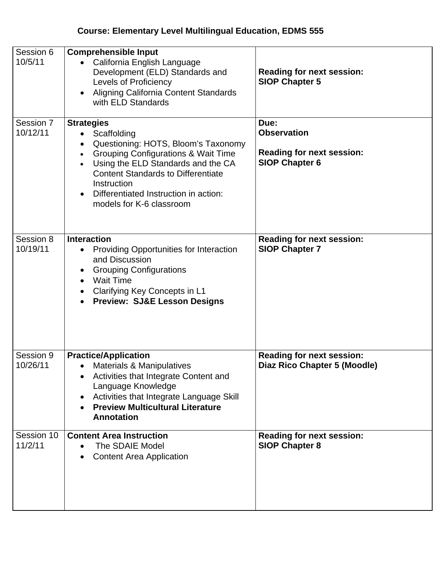| Session 6<br>10/5/11  | <b>Comprehensible Input</b><br>California English Language<br>$\bullet$<br>Development (ELD) Standards and<br><b>Levels of Proficiency</b><br>Aligning California Content Standards<br>$\bullet$<br>with ELD Standards                                                                                                                    | <b>Reading for next session:</b><br><b>SIOP Chapter 5</b>                               |
|-----------------------|-------------------------------------------------------------------------------------------------------------------------------------------------------------------------------------------------------------------------------------------------------------------------------------------------------------------------------------------|-----------------------------------------------------------------------------------------|
| Session 7<br>10/12/11 | <b>Strategies</b><br>• Scaffolding<br>Questioning: HOTS, Bloom's Taxonomy<br>$\bullet$<br><b>Grouping Configurations &amp; Wait Time</b><br>$\bullet$<br>Using the ELD Standards and the CA<br><b>Content Standards to Differentiate</b><br>Instruction<br>Differentiated Instruction in action:<br>$\bullet$<br>models for K-6 classroom | Due:<br><b>Observation</b><br><b>Reading for next session:</b><br><b>SIOP Chapter 6</b> |
| Session 8<br>10/19/11 | <b>Interaction</b><br><b>Providing Opportunities for Interaction</b><br>$\bullet$<br>and Discussion<br><b>Grouping Configurations</b><br>$\bullet$<br><b>Wait Time</b><br>Clarifying Key Concepts in L1<br>$\bullet$<br><b>Preview: SJ&amp;E Lesson Designs</b>                                                                           | <b>Reading for next session:</b><br><b>SIOP Chapter 7</b>                               |
| Session 9<br>10/26/11 | <b>Practice/Application</b><br><b>Materials &amp; Manipulatives</b><br>Activities that Integrate Content and<br>$\bullet$<br>Language Knowledge<br>Activities that Integrate Language Skill<br>$\bullet$<br><b>Preview Multicultural Literature</b><br>$\bullet$<br><b>Annotation</b>                                                     | <b>Reading for next session:</b><br>Diaz Rico Chapter 5 (Moodle)                        |
| Session 10<br>11/2/11 | <b>Content Area Instruction</b><br>The SDAIE Model<br>$\bullet$<br><b>Content Area Application</b><br>$\bullet$                                                                                                                                                                                                                           | <b>Reading for next session:</b><br><b>SIOP Chapter 8</b>                               |